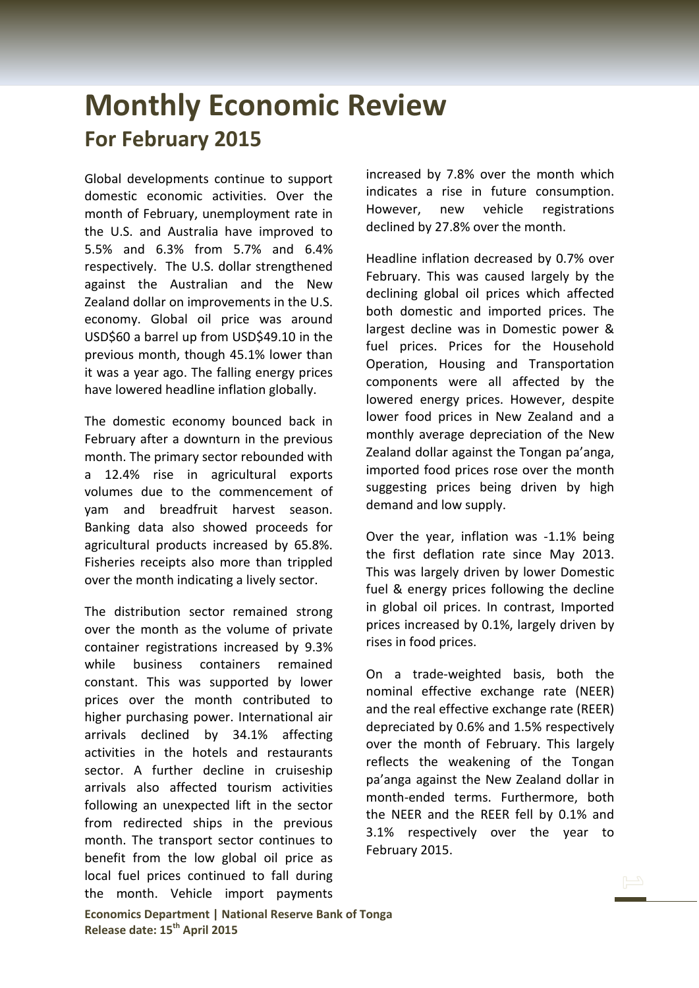## **Monthly Economic Review For February 2015**

Global developments continue to support domestic economic activities. Over the month of February, unemployment rate in the U.S. and Australia have improved to 5.5% and 6.3% from 5.7% and 6.4% respectively. The U.S. dollar strengthened against the Australian and the New Zealand dollar on improvements in the U.S. economy. Global oil price was around USD\$60 a barrel up from USD\$49.10 in the previous month, though 45.1% lower than it was a year ago. The falling energy prices have lowered headline inflation globally.

The domestic economy bounced back in February after a downturn in the previous month. The primary sector rebounded with a 12.4% rise in agricultural exports volumes due to the commencement of yam and breadfruit harvest season. Banking data also showed proceeds for agricultural products increased by 65.8%. Fisheries receipts also more than trippled over the month indicating a lively sector.

The distribution sector remained strong over the month as the volume of private container registrations increased by 9.3% while business containers remained constant. This was supported by lower prices over the month contributed to higher purchasing power. International air arrivals declined by 34.1% affecting activities in the hotels and restaurants sector. A further decline in cruiseship arrivals also affected tourism activities following an unexpected lift in the sector from redirected ships in the previous month. The transport sector continues to benefit from the low global oil price as local fuel prices continued to fall during the month. Vehicle import payments

increased by 7.8% over the month which indicates a rise in future consumption. However, new vehicle registrations declined by 27.8% over the month.

Headline inflation decreased by 0.7% over February. This was caused largely by the declining global oil prices which affected both domestic and imported prices. The largest decline was in Domestic power & fuel prices. Prices for the Household Operation, Housing and Transportation components were all affected by the lowered energy prices. However, despite lower food prices in New Zealand and a monthly average depreciation of the New Zealand dollar against the Tongan pa'anga, imported food prices rose over the month suggesting prices being driven by high demand and low supply.

Over the year, inflation was -1.1% being the first deflation rate since May 2013. This was largely driven by lower Domestic fuel & energy prices following the decline in global oil prices. In contrast, Imported prices increased by 0.1%, largely driven by rises in food prices.

On a trade-weighted basis, both the nominal effective exchange rate (NEER) and the real effective exchange rate (REER) depreciated by 0.6% and 1.5% respectively over the month of February. This largely reflects the weakening of the Tongan pa'anga against the New Zealand dollar in month-ended terms. Furthermore, both the NEER and the REER fell by 0.1% and 3.1% respectively over the year to February 2015.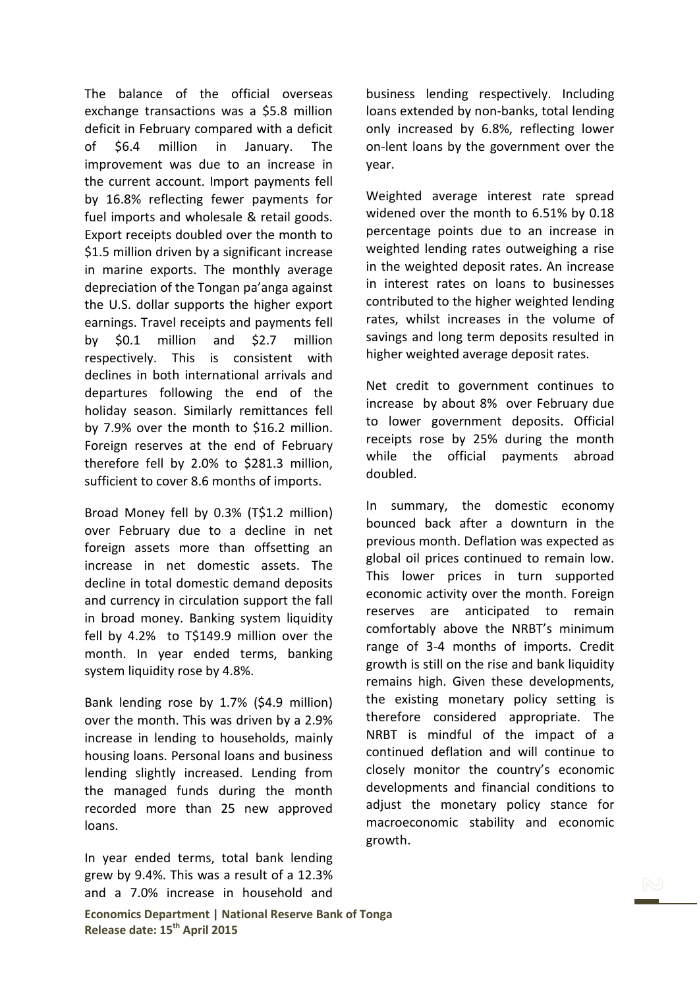The balance of the official overseas exchange transactions was a \$5.8 million deficit in February compared with a deficit of \$6.4 million in January. The improvement was due to an increase in the current account. Import payments fell by 16.8% reflecting fewer payments for fuel imports and wholesale & retail goods. Export receipts doubled over the month to \$1.5 million driven by a significant increase in marine exports. The monthly average depreciation of the Tongan pa'anga against the U.S. dollar supports the higher export earnings. Travel receipts and payments fell by \$0.1 million and \$2.7 million respectively. This is consistent with declines in both international arrivals and departures following the end of the holiday season. Similarly remittances fell by 7.9% over the month to \$16.2 million. Foreign reserves at the end of February therefore fell by 2.0% to \$281.3 million, sufficient to cover 8.6 months of imports.

Broad Money fell by 0.3% (T\$1.2 million) over February due to a decline in net foreign assets more than offsetting an increase in net domestic assets. The decline in total domestic demand deposits and currency in circulation support the fall in broad money. Banking system liquidity fell by 4.2% to T\$149.9 million over the month. In year ended terms, banking system liquidity rose by 4.8%.

Bank lending rose by 1.7% (\$4.9 million) over the month. This was driven by a 2.9% increase in lending to households, mainly housing loans. Personal loans and business lending slightly increased. Lending from the managed funds during the month recorded more than 25 new approved loans.

In year ended terms, total bank lending grew by 9.4%. This was a result of a 12.3% and a 7.0% increase in household and **Economics Department | National Reserve Bank of Tonga Release date: 15th April 2015**

business lending respectively. Including loans extended by non-banks, total lending only increased by 6.8%, reflecting lower on-lent loans by the government over the year.

Weighted average interest rate spread widened over the month to 6.51% by 0.18 percentage points due to an increase in weighted lending rates outweighing a rise in the weighted deposit rates. An increase in interest rates on loans to businesses contributed to the higher weighted lending rates, whilst increases in the volume of savings and long term deposits resulted in higher weighted average deposit rates.

Net credit to government continues to increase by about 8% over February due to lower government deposits. Official receipts rose by 25% during the month while the official payments abroad doubled.

In summary, the domestic economy bounced back after a downturn in the previous month. Deflation was expected as global oil prices continued to remain low. This lower prices in turn supported economic activity over the month. Foreign reserves are anticipated to remain comfortably above the NRBT's minimum range of 3-4 months of imports. Credit growth is still on the rise and bank liquidity remains high. Given these developments, the existing monetary policy setting is therefore considered appropriate. The NRBT is mindful of the impact of a continued deflation and will continue to closely monitor the country's economic developments and financial conditions to adjust the monetary policy stance for macroeconomic stability and economic growth.